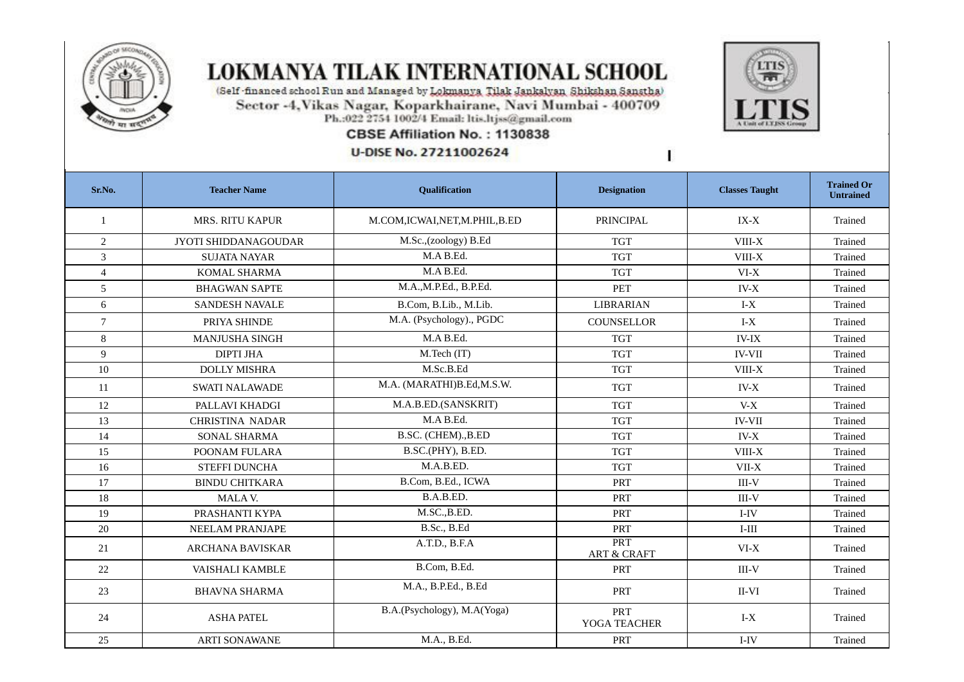

## **LOKMANYA TILAK INTERNATIONAL SCHOOL**

(Self-financed school Run and Managed by Lokmanya Tilak Jankalyan Shikshan Sanstha) Sector -4, Vikas Nagar, Koparkhairane, Navi Mumbai - 400709<br>Ph.:022 2754 1002/4 Email: ltis.ltjss@gmail.com

## CBSE Affiliation No.: 1130838

**U-DISE No. 27211002624** 



1

| Sr.No.         | <b>Teacher Name</b>         | Qualification                    | <b>Designation</b>            | <b>Classes Taught</b> | <b>Trained Or</b><br><b>Untrained</b> |
|----------------|-----------------------------|----------------------------------|-------------------------------|-----------------------|---------------------------------------|
| 1              | <b>MRS. RITU KAPUR</b>      | M.COM, ICWAI, NET, M. PHIL, B.ED | <b>PRINCIPAL</b>              | $IX-X$                | Trained                               |
| $\overline{2}$ | <b>JYOTI SHIDDANAGOUDAR</b> | M.Sc.,(zoology) B.Ed             | <b>TGT</b>                    | VIII-X                | Trained                               |
| 3              | <b>SUJATA NAYAR</b>         | M.A B.Ed.                        | <b>TGT</b>                    | VIII-X                | Trained                               |
| $\overline{4}$ | KOMAL SHARMA                | M.A B.Ed.                        | <b>TGT</b>                    | $VI-X$                | Trained                               |
| 5              | <b>BHAGWAN SAPTE</b>        | M.A., M.P.Ed., B.P.Ed.           | <b>PET</b>                    | $IV-X$                | Trained                               |
| 6              | <b>SANDESH NAVALE</b>       | B.Com, B.Lib., M.Lib.            | LIBRARIAN                     | $I-X$                 | Trained                               |
| $\overline{7}$ | PRIYA SHINDE                | M.A. (Psychology)., PGDC         | COUNSELLOR                    | $I-X$                 | Trained                               |
| 8              | <b>MANJUSHA SINGH</b>       | M.A B.Ed.                        | <b>TGT</b>                    | <b>IV-IX</b>          | Trained                               |
| 9              | <b>DIPTI JHA</b>            | M.Tech (IT)                      | <b>TGT</b>                    | <b>IV-VII</b>         | Trained                               |
| 10             | <b>DOLLY MISHRA</b>         | M.Sc.B.Ed                        | <b>TGT</b>                    | VIII-X                | Trained                               |
| 11             | <b>SWATI NALAWADE</b>       | M.A. (MARATHI)B.Ed,M.S.W.        | <b>TGT</b>                    | $IV-X$                | Trained                               |
| 12             | PALLAVI KHADGI              | M.A.B.ED.(SANSKRIT)              | <b>TGT</b>                    | $V-X$                 | <b>Trained</b>                        |
| 13             | <b>CHRISTINA NADAR</b>      | M.A B.Ed.                        | <b>TGT</b>                    | <b>IV-VII</b>         | Trained                               |
| 14             | SONAL SHARMA                | B.SC. (CHEM)., B.ED              | <b>TGT</b>                    | $IV-X$                | Trained                               |
| 15             | POONAM FULARA               | B.SC.(PHY), B.ED.                | <b>TGT</b>                    | $VIII-X$              | Trained                               |
| 16             | <b>STEFFI DUNCHA</b>        | M.A.B.ED.                        | <b>TGT</b>                    | VII-X                 | Trained                               |
| 17             | <b>BINDU CHITKARA</b>       | B.Com, B.Ed., ICWA               | <b>PRT</b>                    | $III-V$               | <b>Trained</b>                        |
| 18             | MALA V.                     | B.A.B.ED.                        | PRT                           | $III-V$               | Trained                               |
| 19             | PRASHANTI KYPA              | M.SC., B.ED.                     | PRT                           | I-IV                  | Trained                               |
| 20             | <b>NEELAM PRANJAPE</b>      | B.Sc., B.Ed                      | PRT                           | $I-III$               | Trained                               |
| 21             | <b>ARCHANA BAVISKAR</b>     | A.T.D., B.F.A                    | PRT<br><b>ART &amp; CRAFT</b> | $VI-X$                | Trained                               |
| 22             | <b>VAISHALI KAMBLE</b>      | B.Com, B.Ed.                     | <b>PRT</b>                    | $III-V$               | Trained                               |
| 23             | <b>BHAVNA SHARMA</b>        | M.A., B.P.Ed., B.Ed              | PRT                           | II-VI                 | <b>Trained</b>                        |
| 24             | <b>ASHA PATEL</b>           | B.A.(Psychology), M.A(Yoga)      | PRT<br>YOGA TEACHER           | $I-X$                 | Trained                               |
| 25             | <b>ARTI SONAWANE</b>        | M.A., B.Ed.                      | PRT                           | I-IV                  | Trained                               |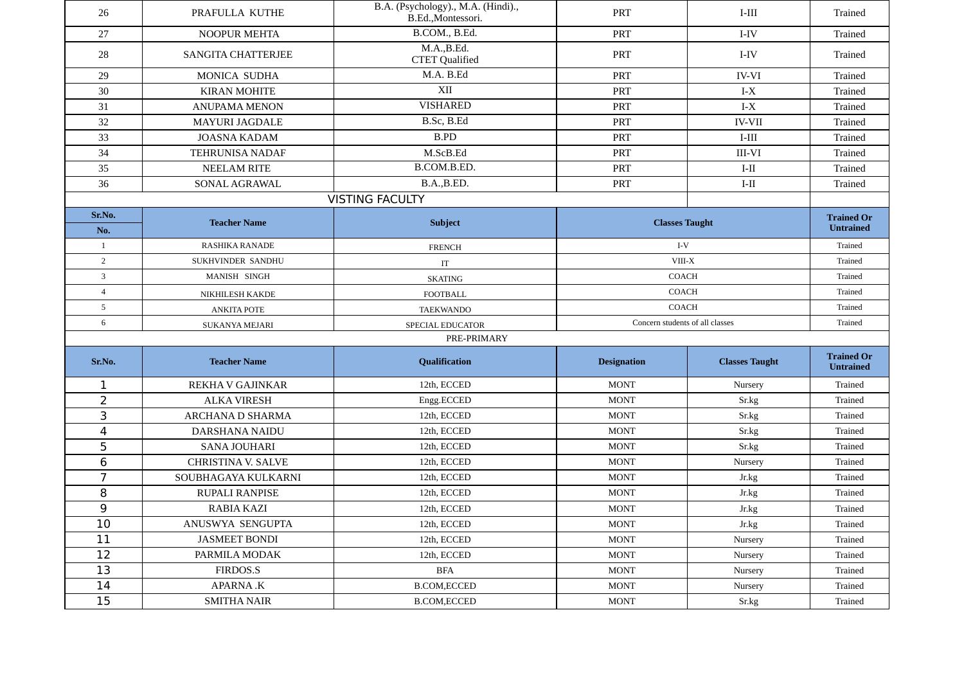| 26             | PRAFULLA KUTHE            | B.A. (Psychology)., M.A. (Hindi).,<br>B.Ed., Montessori. | <b>PRT</b>                      | $I-III$               | Trained                               |
|----------------|---------------------------|----------------------------------------------------------|---------------------------------|-----------------------|---------------------------------------|
| 27             | <b>NOOPUR MEHTA</b>       | B.COM., B.Ed.                                            | PRT                             | I-IV                  | Trained                               |
| 28             | <b>SANGITA CHATTERJEE</b> | M.A.,B.Ed.<br><b>CTET</b> Qualified                      | PRT                             | I-IV                  | <b>Trained</b>                        |
| 29             | MONICA SUDHA              | M.A. B.Ed                                                | <b>PRT</b>                      | <b>IV-VI</b>          | Trained                               |
| 30             | <b>KIRAN MOHITE</b>       | XII                                                      | <b>PRT</b>                      | $I-X$                 | <b>Trained</b>                        |
| 31             | <b>ANUPAMA MENON</b>      | <b>VISHARED</b>                                          | <b>PRT</b>                      | $I-X$                 | Trained                               |
| 32             | <b>MAYURI JAGDALE</b>     | B.Sc, B.Ed                                               | <b>PRT</b>                      | <b>IV-VII</b>         | <b>Trained</b>                        |
| 33             | <b>JOASNA KADAM</b>       | B.PD                                                     | <b>PRT</b>                      | $I-III$               | Trained                               |
| 34             | <b>TEHRUNISA NADAF</b>    | M.ScB.Ed                                                 | <b>PRT</b>                      | <b>III-VI</b>         | <b>Trained</b>                        |
| 35             | <b>NEELAM RITE</b>        | B.COM.B.ED.                                              | <b>PRT</b>                      | $I-II$                | <b>Trained</b>                        |
| 36             | SONAL AGRAWAL             | B.A., B.ED.                                              | <b>PRT</b>                      | $I-II$                | <b>Trained</b>                        |
|                |                           | <b>VISTING FACULTY</b>                                   |                                 |                       |                                       |
| Sr.No.         | <b>Teacher Name</b>       |                                                          |                                 |                       | <b>Trained Or</b>                     |
| No.            |                           | <b>Subject</b>                                           | <b>Classes Taught</b>           |                       | <b>Untrained</b>                      |
| $\mathbf{1}$   | RASHIKA RANADE            | <b>FRENCH</b>                                            |                                 | $I-V$                 |                                       |
| $\overline{2}$ | SUKHVINDER SANDHU         | IT                                                       | VIII-X                          |                       | Trained                               |
| 3              | MANISH SINGH              | <b>SKATING</b>                                           | COACH                           |                       | Trained                               |
| $\overline{4}$ | NIKHILESH KAKDE           | FOOTBALL                                                 | COACH                           |                       | Trained                               |
| 5              | <b>ANKITA POTE</b>        | <b>TAEKWANDO</b>                                         | COACH                           |                       | Trained                               |
| 6              | <b>SUKANYA MEJARI</b>     | SPECIAL EDUCATOR                                         | Concern students of all classes |                       | Trained                               |
|                |                           | PRE-PRIMARY                                              |                                 |                       |                                       |
| Sr.No.         | <b>Teacher Name</b>       | Qualification                                            | <b>Designation</b>              | <b>Classes Taught</b> | <b>Trained Or</b><br><b>Untrained</b> |
| 1              | REKHA V GAJINKAR          | 12th, ECCED                                              | <b>MONT</b>                     | Nursery               | Trained                               |
| $\overline{2}$ | <b>ALKA VIRESH</b>        | Engg.ECCED                                               | <b>MONT</b>                     | Sr.kg                 | Trained                               |
| $\overline{3}$ | ARCHANA D SHARMA          | 12th, ECCED                                              | <b>MONT</b>                     | Sr.kg                 | Trained                               |
| 4              | <b>DARSHANA NAIDU</b>     | 12th, ECCED                                              | <b>MONT</b>                     | Sr.kg                 | Trained                               |
| 5              | <b>SANA JOUHARI</b>       | 12th, ECCED                                              | <b>MONT</b>                     | Sr.kg                 | Trained                               |
| 6              | <b>CHRISTINA V. SALVE</b> | 12th, ECCED                                              | <b>MONT</b>                     | Nursery               | Trained                               |
| $\overline{7}$ | SOUBHAGAYA KULKARNI       | 12th, ECCED                                              | <b>MONT</b>                     | Jr.kg                 | Trained                               |
| 8              | RUPALI RANPISE            | 12th, ECCED                                              | <b>MONT</b>                     | Jr.kg                 | Trained                               |
| 9              | <b>RABIA KAZI</b>         | 12th, ECCED                                              | <b>MONT</b>                     | Jr.kg                 | Trained                               |
| 10             | ANUSWYA SENGUPTA          | 12th, ECCED                                              | <b>MONT</b>                     | Jr.kg                 | Trained                               |
| 11             | <b>JASMEET BONDI</b>      | 12th, ECCED                                              | <b>MONT</b>                     | Nursery               | Trained                               |
| 12             | PARMILA MODAK             | 12th, ECCED                                              | <b>MONT</b>                     | Nursery               | Trained                               |
| 13             | FIRDOS.S                  | $_{\rm BFA}$                                             | <b>MONT</b>                     | Nursery               | Trained                               |
| 14             | <b>APARNA.K</b>           | <b>B.COM,ECCED</b>                                       | <b>MONT</b>                     | Nursery               | Trained                               |
| 15             | <b>SMITHA NAIR</b>        | <b>B.COM,ECCED</b>                                       | <b>MONT</b>                     | Sr.kg                 | Trained                               |